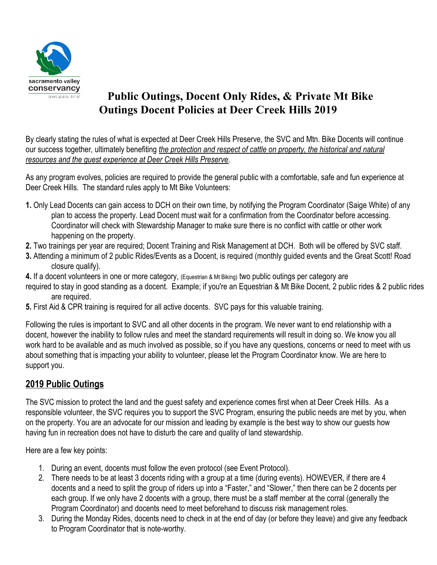

# **Public Outings, Docent Only Rides, & Private Mt Bike Outings Docent Policies at Deer Creek Hills 2019**

By clearly stating the rules of what is expected at Deer Creek Hills Preserve, the SVC and Mtn. Bike Docents will continue our success together, ultimately benefiting *the protection and respect of cattle on property, the historical and natural resources and the guest experience at Deer Creek Hills Preserve*.

As any program evolves, policies are required to provide the general public with a comfortable, safe and fun experience at Deer Creek Hills. The standard rules apply to Mt Bike Volunteers:

- **1.** Only Lead Docents can gain access to DCH on their own time, by notifying the Program Coordinator (Saige White) of any plan to access the property. Lead Docent must wait for a confirmation from the Coordinator before accessing. Coordinator will check with Stewardship Manager to make sure there is no conflict with cattle or other work happening on the property.
- **2.** Two trainings per year are required; Docent Training and Risk Management at DCH. Both will be offered by SVC staff.
- **3.** Attending a minimum of 2 public Rides/Events as a Docent, is required (monthly guided events and the Great Scott! Road closure qualify).
- **4.** If a docent volunteers in one or more category, (Equestrian & Mt Biking) two public outings per category are
- required to stay in good standing as a docent. Example; if you're an Equestrian & Mt Bike Docent, 2 public rides & 2 public rides are required.
- **5.** First Aid & CPR training is required for all active docents. SVC pays for this valuable training.

Following the rules is important to SVC and all other docents in the program. We never want to end relationship with a docent, however the inability to follow rules and meet the standard requirements will result in doing so. We know you all work hard to be available and as much involved as possible, so if you have any questions, concerns or need to meet with us about something that is impacting your ability to volunteer, please let the Program Coordinator know. We are here to support you.

## **2019 Public Outings**

The SVC mission to protect the land and the guest safety and experience comes first when at Deer Creek Hills. As a responsible volunteer, the SVC requires you to support the SVC Program, ensuring the public needs are met by you, when on the property. You are an advocate for our mission and leading by example is the best way to show our guests how having fun in recreation does not have to disturb the care and quality of land stewardship.

Here are a few key points:

- 1. During an event, docents must follow the even protocol (see Event Protocol).
- 2. There needs to be at least 3 docents riding with a group at a time (during events). HOWEVER, if there are 4 docents and a need to split the group of riders up into a "Faster," and "Slower," then there can be 2 docents per each group. If we only have 2 docents with a group, there must be a staff member at the corral (generally the Program Coordinator) and docents need to meet beforehand to discuss risk management roles.
- 3. During the Monday Rides, docents need to check in at the end of day (or before they leave) and give any feedback to Program Coordinator that is note-worthy.